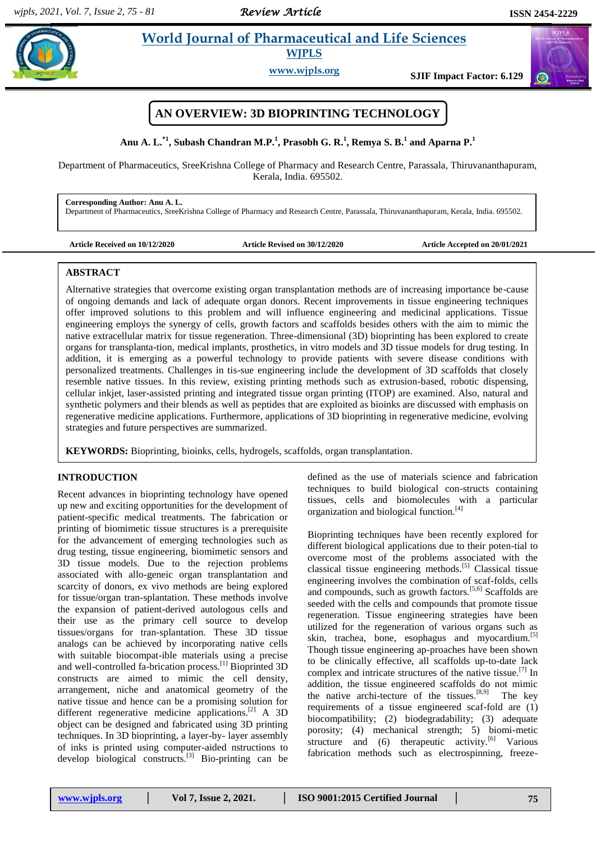*Review Article* 

 $\sigma$ 

# **Anual 2018 Islaming World Journal of Pharmaceutical and Life Sciences WJPLS**

**www.wjpls.org SJIF Impact Factor: 6.129**



**Anu A. L. \*1 , Subash Chandran M.P. 1 , Prasobh G. R. 1 , Remya S. B. 1 and Aparna P. 1**

Department of Pharmaceutics, SreeKrishna College of Pharmacy and Research Centre, Parassala, Thiruvananthapuram, Kerala, India. 695502.

**Corresponding Author: Anu A. L.**

Department of Pharmaceutics, SreeKrishna College of Pharmacy and Research Centre, Parassala, Thiruvananthapuram, Kerala, India. 695502.

| <b>Article Received on 10/12/2020</b> |
|---------------------------------------|
|---------------------------------------|

**Article Received on 10/12/2020 Article Revised on 30/12/2020 Article Accepted on 20/01/2021**

# **ABSTRACT**

Alternative strategies that overcome existing organ transplantation methods are of increasing importance be-cause of ongoing demands and lack of adequate organ donors. Recent improvements in tissue engineering techniques offer improved solutions to this problem and will influence engineering and medicinal applications. Tissue engineering employs the synergy of cells, growth factors and scaffolds besides others with the aim to mimic the native extracellular matrix for tissue regeneration. Three-dimensional (3D) bioprinting has been explored to create organs for transplanta-tion, medical implants, prosthetics, in vitro models and 3D tissue models for drug testing. In addition, it is emerging as a powerful technology to provide patients with severe disease conditions with personalized treatments. Challenges in tis-sue engineering include the development of 3D scaffolds that closely resemble native tissues. In this review, existing printing methods such as extrusion-based, robotic dispensing, cellular inkjet, laser-assisted printing and integrated tissue organ printing (ITOP) are examined. Also, natural and synthetic polymers and their blends as well as peptides that are exploited as bioinks are discussed with emphasis on regenerative medicine applications. Furthermore, applications of 3D bioprinting in regenerative medicine, evolving strategies and future perspectives are summarized.

**KEYWORDS:** Bioprinting, bioinks, cells, hydrogels, scaffolds, organ transplantation.

## **INTRODUCTION**

Recent advances in bioprinting technology have opened up new and exciting opportunities for the development of patient-specific medical treatments. The fabrication or printing of biomimetic tissue structures is a prerequisite for the advancement of emerging technologies such as drug testing, tissue engineering, biomimetic sensors and 3D tissue models. Due to the rejection problems associated with allo-geneic organ transplantation and scarcity of donors, ex vivo methods are being explored for tissue/organ tran-splantation. These methods involve the expansion of patient-derived autologous cells and their use as the primary cell source to develop tissues/organs for tran-splantation. These 3D tissue analogs can be achieved by incorporating native cells with suitable biocompat-ible materials using a precise and well-controlled fa-brication process.[1] Bioprinted 3D constructs are aimed to mimic the cell density, arrangement, niche and anatomical geometry of the native tissue and hence can be a promising solution for different regenerative medicine applications.<sup>[2]</sup> A 3D object can be designed and fabricated using 3D printing techniques. In 3D bioprinting, a layer-by- layer assembly of inks is printed using computer-aided nstructions to develop biological constructs.[3] Bio-printing can be

defined as the use of materials science and fabrication techniques to build biological con-structs containing tissues, cells and biomolecules with a particular organization and biological function.[4]

Bioprinting techniques have been recently explored for different biological applications due to their poten-tial to overcome most of the problems associated with the classical tissue engineering methods.[5] Classical tissue engineering involves the combination of scaf-folds, cells and compounds, such as growth factors.[5,6] Scaffolds are seeded with the cells and compounds that promote tissue regeneration. Tissue engineering strategies have been utilized for the regeneration of various organs such as skin, trachea, bone, esophagus and myocardium.<sup>[5]</sup> Though tissue engineering ap-proaches have been shown to be clinically effective, all scaffolds up-to-date lack complex and intricate structures of the native tissue.[7] In addition, the tissue engineered scaffolds do not mimic the native archi-tecture of the tissues.  $[8,9]$  The key requirements of a tissue engineered scaf-fold are (1) biocompatibility; (2) biodegradability; (3) adequate porosity; (4) mechanical strength; 5) biomi-metic structure and  $(6)$  therapeutic activity.<sup>[6]</sup> Various fabrication methods such as electrospinning, freeze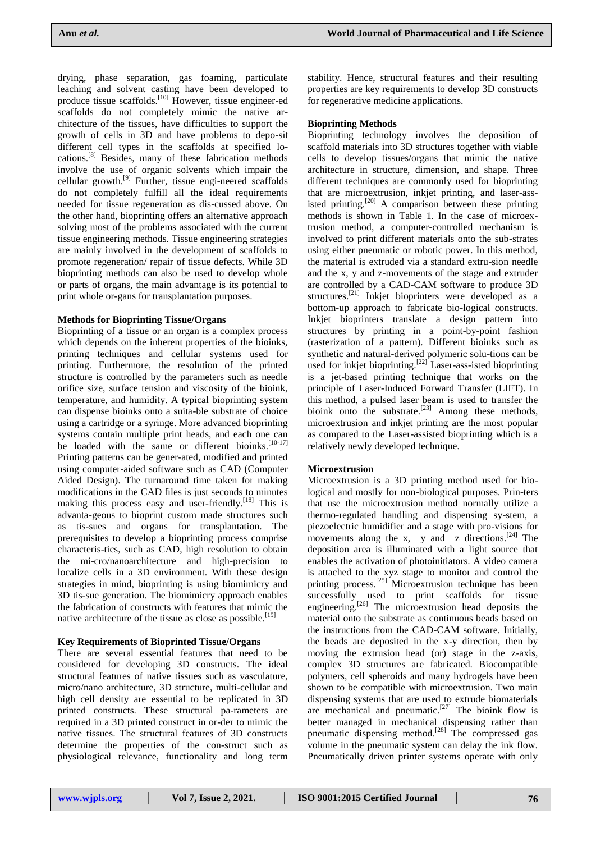drying, phase separation, gas foaming, particulate leaching and solvent casting have been developed to produce tissue scaffolds.<sup>[10]</sup> However, tissue engineer-ed scaffolds do not completely mimic the native architecture of the tissues, have difficulties to support the growth of cells in 3D and have problems to depo-sit different cell types in the scaffolds at specified locations. [8] Besides, many of these fabrication methods involve the use of organic solvents which impair the cellular growth.<sup>[9]</sup> Further, tissue engi-neered scaffolds do not completely fulfill all the ideal requirements needed for tissue regeneration as dis-cussed above. On the other hand, bioprinting offers an alternative approach solving most of the problems associated with the current tissue engineering methods. Tissue engineering strategies are mainly involved in the development of scaffolds to promote regeneration/ repair of tissue defects. While 3D bioprinting methods can also be used to develop whole or parts of organs, the main advantage is its potential to print whole or-gans for transplantation purposes.

## **Methods for Bioprinting Tissue/Organs**

Bioprinting of a tissue or an organ is a complex process which depends on the inherent properties of the bioinks, printing techniques and cellular systems used for printing. Furthermore, the resolution of the printed structure is controlled by the parameters such as needle orifice size, surface tension and viscosity of the bioink, temperature, and humidity. A typical bioprinting system can dispense bioinks onto a suita-ble substrate of choice using a cartridge or a syringe. More advanced bioprinting systems contain multiple print heads, and each one can be loaded with the same or different bioinks.<sup>[10-17]</sup> Printing patterns can be gener-ated, modified and printed using computer-aided software such as CAD (Computer Aided Design). The turnaround time taken for making modifications in the CAD files is just seconds to minutes making this process easy and user-friendly.<sup>[18]</sup> This is advanta-geous to bioprint custom made structures such as tis-sues and organs for transplantation. The prerequisites to develop a bioprinting process comprise characteris-tics, such as CAD, high resolution to obtain the mi-cro/nanoarchitecture and high-precision to localize cells in a 3D environment. With these design strategies in mind, bioprinting is using biomimicry and 3D tis-sue generation. The biomimicry approach enables the fabrication of constructs with features that mimic the native architecture of the tissue as close as possible.<sup>[19]</sup>

## **Key Requirements of Bioprinted Tissue/Organs**

There are several essential features that need to be considered for developing 3D constructs. The ideal structural features of native tissues such as vasculature, micro/nano architecture, 3D structure, multi-cellular and high cell density are essential to be replicated in 3D printed constructs. These structural pa-rameters are required in a 3D printed construct in or-der to mimic the native tissues. The structural features of 3D constructs determine the properties of the con-struct such as physiological relevance, functionality and long term stability. Hence, structural features and their resulting properties are key requirements to develop 3D constructs for regenerative medicine applications.

# **Bioprinting Methods**

Bioprinting technology involves the deposition of scaffold materials into 3D structures together with viable cells to develop tissues/organs that mimic the native architecture in structure, dimension, and shape. Three different techniques are commonly used for bioprinting that are microextrusion, inkjet printing, and laser-assisted printing.<sup>[20]</sup> A comparison between these printing methods is shown in Table 1. In the case of microextrusion method, a computer-controlled mechanism is involved to print different materials onto the sub-strates using either pneumatic or robotic power. In this method, the material is extruded via a standard extru-sion needle and the x, y and z-movements of the stage and extruder are controlled by a CAD-CAM software to produce 3D structures.<sup>[21]</sup> Inkjet bioprinters were developed as a bottom-up approach to fabricate bio-logical constructs. Inkjet bioprinters translate a design pattern into structures by printing in a point-by-point fashion (rasterization of a pattern). Different bioinks such as synthetic and natural-derived polymeric solu-tions can be used for inkjet bioprinting.<sup>[22]</sup> Laser-ass-isted bioprinting is a jet-based printing technique that works on the principle of Laser-Induced Forward Transfer (LIFT). In this method, a pulsed laser beam is used to transfer the bioink onto the substrate.<sup>[23]</sup> Among these methods, microextrusion and inkjet printing are the most popular as compared to the Laser-assisted bioprinting which is a relatively newly developed technique.

## **Microextrusion**

Microextrusion is a 3D printing method used for biological and mostly for non-biological purposes. Prin-ters that use the microextrusion method normally utilize a thermo-regulated handling and dispensing sy-stem, a piezoelectric humidifier and a stage with pro-visions for movements along the x, y and z directions.  $[24]$  The deposition area is illuminated with a light source that enables the activation of photoinitiators. A video camera is attached to the xyz stage to monitor and control the printing process.<sup>[25]</sup> Microextrusion technique has been successfully used to print scaffolds for tissue engineering.<sup>[26]</sup> The microextrusion head deposits the material onto the substrate as continuous beads based on the instructions from the CAD-CAM software. Initially, the beads are deposited in the x-y direction, then by moving the extrusion head (or) stage in the z-axis, complex 3D structures are fabricated. Biocompatible polymers, cell spheroids and many hydrogels have been shown to be compatible with microextrusion. Two main dispensing systems that are used to extrude biomaterials are mechanical and pneumatic.<sup>[27]</sup> The bioink flow is better managed in mechanical dispensing rather than pneumatic dispensing method. [28] The compressed gas volume in the pneumatic system can delay the ink flow. Pneumatically driven printer systems operate with only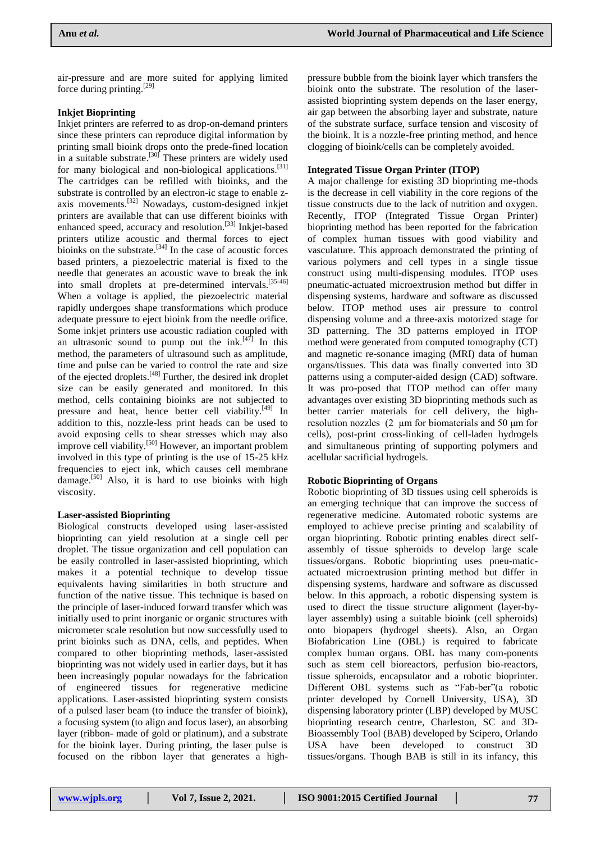air-pressure and are more suited for applying limited force during printing.<sup>[29]</sup>

# **Inkjet Bioprinting**

Inkjet printers are referred to as drop-on-demand printers since these printers can reproduce digital information by printing small bioink drops onto the prede-fined location in a suitable substrate.  $[30]$  These printers are widely used for many biological and non-biological applications.<sup>[31]</sup> The cartridges can be refilled with bioinks, and the substrate is controlled by an electron-ic stage to enable zaxis movements.[32] Nowadays, custom-designed inkjet printers are available that can use different bioinks with enhanced speed, accuracy and resolution.<sup>[33]</sup> Inkjet-based printers utilize acoustic and thermal forces to eject bioinks on the substrate. $[34]$  In the case of acoustic forces based printers, a piezoelectric material is fixed to the needle that generates an acoustic wave to break the ink into small droplets at pre-determined intervals.<sup>[35-46]</sup> When a voltage is applied, the piezoelectric material rapidly undergoes shape transformations which produce adequate pressure to eject bioink from the needle orifice. Some inkjet printers use acoustic radiation coupled with an ultrasonic sound to pump out the ink. $[47]$  In this method, the parameters of ultrasound such as amplitude, time and pulse can be varied to control the rate and size of the ejected droplets.<sup>[48]</sup> Further, the desired ink droplet size can be easily generated and monitored. In this method, cells containing bioinks are not subjected to pressure and heat, hence better cell viability.<sup>[49]</sup> In addition to this, nozzle-less print heads can be used to avoid exposing cells to shear stresses which may also improve cell viability.[50] However, an important problem involved in this type of printing is the use of 15-25 kHz frequencies to eject ink, which causes cell membrane damage.<sup>[50]</sup> Also, it is hard to use bioinks with high viscosity.

## **Laser-assisted Bioprinting**

Biological constructs developed using laser-assisted bioprinting can yield resolution at a single cell per droplet. The tissue organization and cell population can be easily controlled in laser-assisted bioprinting, which makes it a potential technique to develop tissue equivalents having similarities in both structure and function of the native tissue. This technique is based on the principle of laser-induced forward transfer which was initially used to print inorganic or organic structures with micrometer scale resolution but now successfully used to print bioinks such as DNA, cells, and peptides. When compared to other bioprinting methods, laser-assisted bioprinting was not widely used in earlier days, but it has been increasingly popular nowadays for the fabrication of engineered tissues for regenerative medicine applications. Laser-assisted bioprinting system consists of a pulsed laser beam (to induce the transfer of bioink), a focusing system (to align and focus laser), an absorbing layer (ribbon- made of gold or platinum), and a substrate for the bioink layer. During printing, the laser pulse is focused on the ribbon layer that generates a high-

pressure bubble from the bioink layer which transfers the bioink onto the substrate. The resolution of the laserassisted bioprinting system depends on the laser energy, air gap between the absorbing layer and substrate, nature of the substrate surface, surface tension and viscosity of the bioink. It is a nozzle-free printing method, and hence clogging of bioink/cells can be completely avoided.

# **Integrated Tissue Organ Printer (ITOP)**

A major challenge for existing 3D bioprinting me-thods is the decrease in cell viability in the core regions of the tissue constructs due to the lack of nutrition and oxygen. Recently, ITOP (Integrated Tissue Organ Printer) bioprinting method has been reported for the fabrication of complex human tissues with good viability and vasculature. This approach demonstrated the printing of various polymers and cell types in a single tissue construct using multi-dispensing modules. ITOP uses pneumatic-actuated microextrusion method but differ in dispensing systems, hardware and software as discussed below. ITOP method uses air pressure to control dispensing volume and a three-axis motorized stage for 3D patterning. The 3D patterns employed in ITOP method were generated from computed tomography (CT) and magnetic re-sonance imaging (MRI) data of human organs/tissues. This data was finally converted into 3D patterns using a computer-aided design (CAD) software. It was pro-posed that ITOP method can offer many advantages over existing 3D bioprinting methods such as better carrier materials for cell delivery, the highresolution nozzles (2 μm for biomaterials and 50 μm for cells), post-print cross-linking of cell-laden hydrogels and simultaneous printing of supporting polymers and acellular sacrificial hydrogels.

## **Robotic Bioprinting of Organs**

Robotic bioprinting of 3D tissues using cell spheroids is an emerging technique that can improve the success of regenerative medicine. Automated robotic systems are employed to achieve precise printing and scalability of organ bioprinting. Robotic printing enables direct selfassembly of tissue spheroids to develop large scale tissues/organs. Robotic bioprinting uses pneu-maticactuated microextrusion printing method but differ in dispensing systems, hardware and software as discussed below. In this approach, a robotic dispensing system is used to direct the tissue structure alignment (layer-bylayer assembly) using a suitable bioink (cell spheroids) onto biopapers (hydrogel sheets). Also, an Organ Biofabrication Line (OBL) is required to fabricate complex human organs. OBL has many com-ponents such as stem cell bioreactors, perfusion bio-reactors, tissue spheroids, encapsulator and a robotic bioprinter. Different OBL systems such as "Fab-ber"(a robotic printer developed by Cornell University, USA), 3D dispensing laboratory printer (LBP) developed by MUSC bioprinting research centre, Charleston, SC and 3D-Bioassembly Tool (BAB) developed by Scipero, Orlando USA have been developed to construct 3D tissues/organs. Though BAB is still in its infancy, this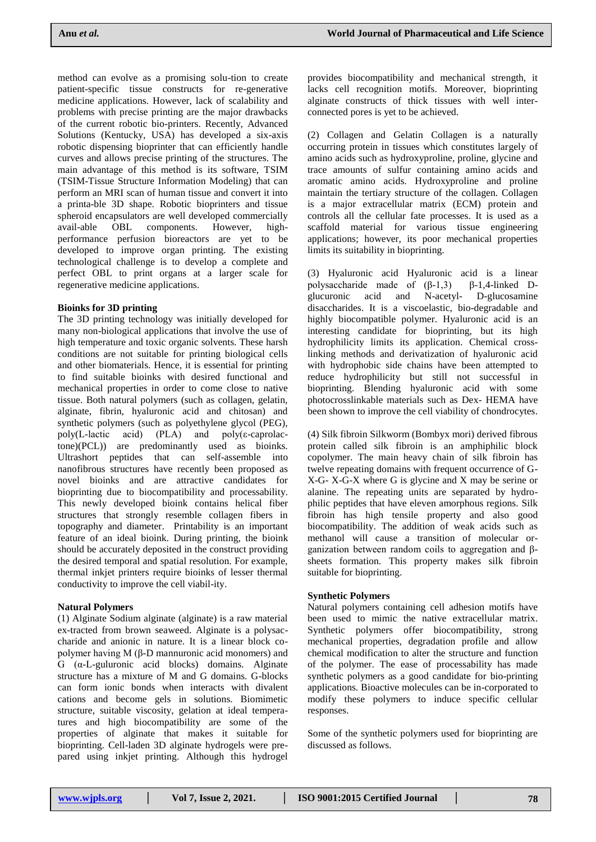method can evolve as a promising solu-tion to create patient-specific tissue constructs for re-generative medicine applications. However, lack of scalability and problems with precise printing are the major drawbacks of the current robotic bio-printers. Recently, Advanced Solutions (Kentucky, USA) has developed a six-axis robotic dispensing bioprinter that can efficiently handle curves and allows precise printing of the structures. The main advantage of this method is its software, TSIM (TSIM-Tissue Structure Information Modeling) that can perform an MRI scan of human tissue and convert it into a printa-ble 3D shape. Robotic bioprinters and tissue spheroid encapsulators are well developed commercially avail-able OBL components. However, highperformance perfusion bioreactors are yet to be developed to improve organ printing. The existing technological challenge is to develop a complete and perfect OBL to print organs at a larger scale for regenerative medicine applications.

# **Bioinks for 3D printing**

The 3D printing technology was initially developed for many non-biological applications that involve the use of high temperature and toxic organic solvents. These harsh conditions are not suitable for printing biological cells and other biomaterials. Hence, it is essential for printing to find suitable bioinks with desired functional and mechanical properties in order to come close to native tissue. Both natural polymers (such as collagen, gelatin, alginate, fibrin, hyaluronic acid and chitosan) and synthetic polymers (such as polyethylene glycol (PEG), poly(L-lactic acid) (PLA) and poly(ε-caprolactone)(PCL)) are predominantly used as bioinks. Ultrashort peptides that can self-assemble into nanofibrous structures have recently been proposed as novel bioinks and are attractive candidates for bioprinting due to biocompatibility and processability. This newly developed bioink contains helical fiber structures that strongly resemble collagen fibers in topography and diameter. Printability is an important feature of an ideal bioink. During printing, the bioink should be accurately deposited in the construct providing the desired temporal and spatial resolution. For example, thermal inkjet printers require bioinks of lesser thermal conductivity to improve the cell viabil-ity.

## **Natural Polymers**

(1) Alginate Sodium alginate (alginate) is a raw material ex-tracted from brown seaweed. Alginate is a polysaccharide and anionic in nature. It is a linear block copolymer having M (β-D mannuronic acid monomers) and G (α-L-guluronic acid blocks) domains. Alginate structure has a mixture of M and G domains. G-blocks can form ionic bonds when interacts with divalent cations and become gels in solutions. Biomimetic structure, suitable viscosity, gelation at ideal temperatures and high biocompatibility are some of the properties of alginate that makes it suitable for bioprinting. Cell-laden 3D alginate hydrogels were prepared using inkjet printing. Although this hydrogel provides biocompatibility and mechanical strength, it lacks cell recognition motifs. Moreover, bioprinting alginate constructs of thick tissues with well interconnected pores is yet to be achieved.

(2) Collagen and Gelatin Collagen is a naturally occurring protein in tissues which constitutes largely of amino acids such as hydroxyproline, proline, glycine and trace amounts of sulfur containing amino acids and aromatic amino acids. Hydroxyproline and proline maintain the tertiary structure of the collagen. Collagen is a major extracellular matrix (ECM) protein and controls all the cellular fate processes. It is used as a scaffold material for various tissue engineering applications; however, its poor mechanical properties limits its suitability in bioprinting.

(3) Hyaluronic acid Hyaluronic acid is a linear polysaccharide made of  $(β-1,3)$   $β-1,4-linked$  Dglucuronic acid and N-acetyl- D-glucosamine disaccharides. It is a viscoelastic, bio-degradable and highly biocompatible polymer. Hyaluronic acid is an interesting candidate for bioprinting, but its high hydrophilicity limits its application. Chemical crosslinking methods and derivatization of hyaluronic acid with hydrophobic side chains have been attempted to reduce hydrophilicity but still not successful in bioprinting. Blending hyaluronic acid with some photocrosslinkable materials such as Dex- HEMA have been shown to improve the cell viability of chondrocytes.

(4) Silk fibroin Silkworm (Bombyx mori) derived fibrous protein called silk fibroin is an amphiphilic block copolymer. The main heavy chain of silk fibroin has twelve repeating domains with frequent occurrence of G-X-G- X-G-X where G is glycine and X may be serine or alanine. The repeating units are separated by hydrophilic peptides that have eleven amorphous regions. Silk fibroin has high tensile property and also good biocompatibility. The addition of weak acids such as methanol will cause a transition of molecular organization between random coils to aggregation and βsheets formation. This property makes silk fibroin suitable for bioprinting.

## **Synthetic Polymers**

Natural polymers containing cell adhesion motifs have been used to mimic the native extracellular matrix. Synthetic polymers offer biocompatibility, strong mechanical properties, degradation profile and allow chemical modification to alter the structure and function of the polymer. The ease of processability has made synthetic polymers as a good candidate for bio-printing applications. Bioactive molecules can be in-corporated to modify these polymers to induce specific cellular responses.

Some of the synthetic polymers used for bioprinting are discussed as follows.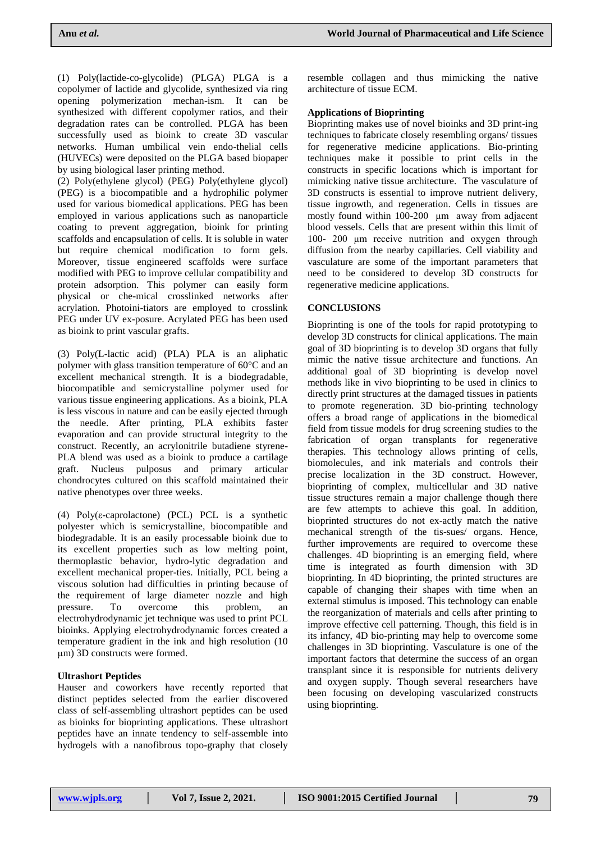(1) Poly(lactide-co-glycolide) (PLGA) PLGA is a copolymer of lactide and glycolide, synthesized via ring opening polymerization mechan-ism. It can be synthesized with different copolymer ratios, and their degradation rates can be controlled. PLGA has been successfully used as bioink to create 3D vascular networks. Human umbilical vein endo-thelial cells (HUVECs) were deposited on the PLGA based biopaper by using biological laser printing method.

(2) Poly(ethylene glycol) (PEG) Poly(ethylene glycol) (PEG) is a biocompatible and a hydrophilic polymer used for various biomedical applications. PEG has been employed in various applications such as nanoparticle coating to prevent aggregation, bioink for printing scaffolds and encapsulation of cells. It is soluble in water but require chemical modification to form gels. Moreover, tissue engineered scaffolds were surface modified with PEG to improve cellular compatibility and protein adsorption. This polymer can easily form physical or che-mical crosslinked networks after acrylation. Photoini-tiators are employed to crosslink PEG under UV ex-posure. Acrylated PEG has been used as bioink to print vascular grafts.

(3) Poly(L-lactic acid) (PLA) PLA is an aliphatic polymer with glass transition temperature of 60°C and an excellent mechanical strength. It is a biodegradable, biocompatible and semicrystalline polymer used for various tissue engineering applications. As a bioink, PLA is less viscous in nature and can be easily ejected through the needle. After printing, PLA exhibits faster evaporation and can provide structural integrity to the construct. Recently, an acrylonitrile butadiene styrene-PLA blend was used as a bioink to produce a cartilage graft. Nucleus pulposus and primary articular chondrocytes cultured on this scaffold maintained their native phenotypes over three weeks.

(4) Poly(ε-caprolactone) (PCL) PCL is a synthetic polyester which is semicrystalline, biocompatible and biodegradable. It is an easily processable bioink due to its excellent properties such as low melting point, thermoplastic behavior, hydro-lytic degradation and excellent mechanical proper-ties. Initially, PCL being a viscous solution had difficulties in printing because of the requirement of large diameter nozzle and high<br>pressure. To overcome this problem, an pressure. To overcome this problem, an electrohydrodynamic jet technique was used to print PCL bioinks. Applying electrohydrodynamic forces created a temperature gradient in the ink and high resolution (10 μm) 3D constructs were formed.

# **Ultrashort Peptides**

Hauser and coworkers have recently reported that distinct peptides selected from the earlier discovered class of self-assembling ultrashort peptides can be used as bioinks for bioprinting applications. These ultrashort peptides have an innate tendency to self-assemble into hydrogels with a nanofibrous topo-graphy that closely

resemble collagen and thus mimicking the native architecture of tissue ECM.

# **Applications of Bioprinting**

Bioprinting makes use of novel bioinks and 3D print-ing techniques to fabricate closely resembling organs/ tissues for regenerative medicine applications. Bio-printing techniques make it possible to print cells in the constructs in specific locations which is important for mimicking native tissue architecture. The vasculature of 3D constructs is essential to improve nutrient delivery, tissue ingrowth, and regeneration. Cells in tissues are mostly found within 100-200 μm away from adjacent blood vessels. Cells that are present within this limit of 100- 200 μm receive nutrition and oxygen through diffusion from the nearby capillaries. Cell viability and vasculature are some of the important parameters that need to be considered to develop 3D constructs for regenerative medicine applications.

# **CONCLUSIONS**

Bioprinting is one of the tools for rapid prototyping to develop 3D constructs for clinical applications. The main goal of 3D bioprinting is to develop 3D organs that fully mimic the native tissue architecture and functions. An additional goal of 3D bioprinting is develop novel methods like in vivo bioprinting to be used in clinics to directly print structures at the damaged tissues in patients to promote regeneration. 3D bio-printing technology offers a broad range of applications in the biomedical field from tissue models for drug screening studies to the fabrication of organ transplants for regenerative therapies. This technology allows printing of cells, biomolecules, and ink materials and controls their precise localization in the 3D construct. However, bioprinting of complex, multicellular and 3D native tissue structures remain a major challenge though there are few attempts to achieve this goal. In addition, bioprinted structures do not ex-actly match the native mechanical strength of the tis-sues/ organs. Hence, further improvements are required to overcome these challenges. 4D bioprinting is an emerging field, where time is integrated as fourth dimension with 3D bioprinting. In 4D bioprinting, the printed structures are capable of changing their shapes with time when an external stimulus is imposed. This technology can enable the reorganization of materials and cells after printing to improve effective cell patterning. Though, this field is in its infancy, 4D bio-printing may help to overcome some challenges in 3D bioprinting. Vasculature is one of the important factors that determine the success of an organ transplant since it is responsible for nutrients delivery and oxygen supply. Though several researchers have been focusing on developing vascularized constructs using bioprinting.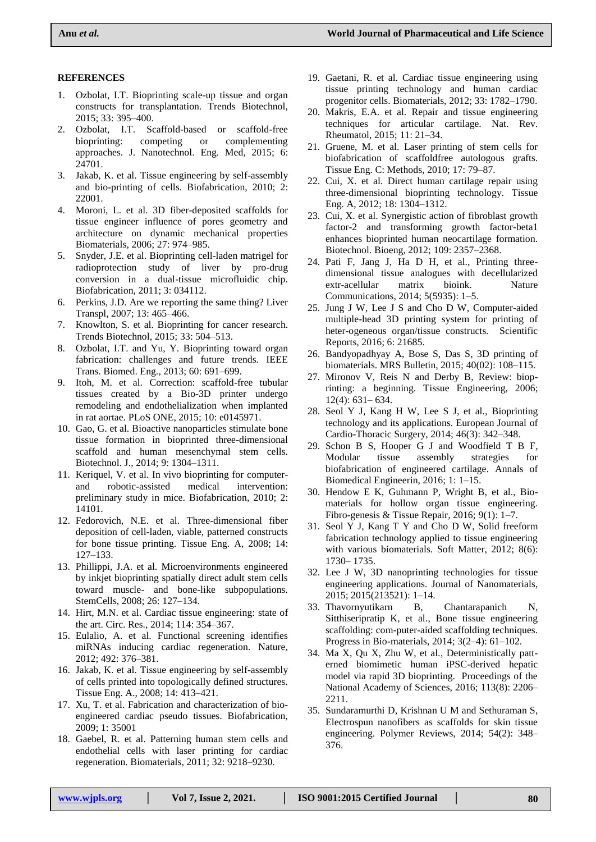# **REFERENCES**

- 1. Ozbolat, I.T. Bioprinting scale-up tissue and organ constructs for transplantation. Trends Biotechnol, 2015; 33: 395–400.
- 2. Ozbolat, I.T. Scaffold-based or scaffold-free bioprinting: competing or complementing approaches. J. Nanotechnol. Eng. Med, 2015; 6: 24701.
- 3. Jakab, K. et al. Tissue engineering by self-assembly and bio-printing of cells. Biofabrication, 2010; 2: 22001.
- 4. Moroni, L. et al. 3D fiber-deposited scaffolds for tissue engineer influence of pores geometry and architecture on dynamic mechanical properties Biomaterials, 2006; 27: 974–985.
- 5. Snyder, J.E. et al. Bioprinting cell-laden matrigel for radioprotection study of liver by pro-drug conversion in a dual-tissue microfluidic chip. Biofabrication, 2011; 3: 034112.
- 6. Perkins, J.D. Are we reporting the same thing? Liver Transpl, 2007; 13: 465–466.
- 7. Knowlton, S. et al. Bioprinting for cancer research. Trends Biotechnol, 2015; 33: 504–513.
- 8. Ozbolat, I.T. and Yu, Y. Bioprinting toward organ fabrication: challenges and future trends. IEEE Trans. Biomed. Eng., 2013; 60: 691–699.
- 9. Itoh, M. et al. Correction: scaffold-free tubular tissues created by a Bio-3D printer undergo remodeling and endothelialization when implanted in rat aortae. PLoS ONE, 2015; 10: e0145971.
- 10. Gao, G. et al. Bioactive nanoparticles stimulate bone tissue formation in bioprinted three-dimensional scaffold and human mesenchymal stem cells. Biotechnol. J., 2014; 9: 1304–1311.
- 11. Keriquel, V. et al. In vivo bioprinting for computerand robotic-assisted medical intervention: preliminary study in mice. Biofabrication, 2010; 2: 14101.
- 12. Fedorovich, N.E. et al. Three-dimensional fiber deposition of cell-laden, viable, patterned constructs for bone tissue printing. Tissue Eng. A, 2008; 14: 127–133.
- 13. Phillippi, J.A. et al. Microenvironments engineered by inkjet bioprinting spatially direct adult stem cells toward muscle- and bone-like subpopulations. StemCells, 2008; 26: 127–134.
- 14. Hirt, M.N. et al. Cardiac tissue engineering: state of the art. Circ. Res., 2014; 114: 354–367.
- 15. Eulalio, A. et al. Functional screening identifies miRNAs inducing cardiac regeneration. Nature, 2012; 492: 376–381.
- 16. Jakab, K. et al. Tissue engineering by self-assembly of cells printed into topologically defined structures. Tissue Eng. A., 2008; 14: 413–421.
- 17. Xu, T. et al. Fabrication and characterization of bioengineered cardiac pseudo tissues. Biofabrication, 2009; 1: 35001
- 18. Gaebel, R. et al. Patterning human stem cells and endothelial cells with laser printing for cardiac regeneration. Biomaterials, 2011; 32: 9218–9230.
- 19. Gaetani, R. et al. Cardiac tissue engineering using tissue printing technology and human cardiac progenitor cells. Biomaterials, 2012; 33: 1782–1790.
- 20. Makris, E.A. et al. Repair and tissue engineering techniques for articular cartilage. Nat. Rev. Rheumatol, 2015; 11: 21–34.
- 21. Gruene, M. et al. Laser printing of stem cells for biofabrication of scaffoldfree autologous grafts. Tissue Eng. C: Methods, 2010; 17: 79–87.
- 22. Cui, X. et al. Direct human cartilage repair using three-dimensional bioprinting technology. Tissue Eng. A, 2012; 18: 1304–1312.
- 23. Cui, X. et al. Synergistic action of fibroblast growth factor-2 and transforming growth factor-beta1 enhances bioprinted human neocartilage formation. Biotechnol. Bioeng, 2012; 109: 2357–2368.
- 24. Pati F, Jang J, Ha D H, et al., Printing threedimensional tissue analogues with decellularized extr-acellular matrix bioink. Nature Communications, 2014; 5(5935): 1–5.
- 25. Jung J W, Lee J S and Cho D W, Computer-aided multiple-head 3D printing system for printing of heter-ogeneous organ/tissue constructs. Scientific Reports, 2016; 6: 21685.
- 26. Bandyopadhyay A, Bose S, Das S, 3D printing of biomaterials. MRS Bulletin, 2015; 40(02): 108–115.
- 27. Mironov V, Reis N and Derby B, Review: bioprinting: a beginning. Tissue Engineering, 2006; 12(4): 631– 634.
- 28. Seol Y J, Kang H W, Lee S J, et al., Bioprinting technology and its applications. European Journal of Cardio-Thoracic Surgery, 2014; 46(3): 342–348.
- 29. Schon B S, Hooper G J and Woodfield T B F, Modular tissue assembly strategies for biofabrication of engineered cartilage. Annals of Biomedical Engineerin, 2016; 1: 1–15.
- 30. Hendow E K, Guhmann P, Wright B, et al., Biomaterials for hollow organ tissue engineering. Fibro-genesis & Tissue Repair, 2016; 9(1): 1–7.
- 31. Seol Y J, Kang T Y and Cho D W, Solid freeform fabrication technology applied to tissue engineering with various biomaterials. Soft Matter, 2012; 8(6): 1730– 1735.
- 32. Lee J W, 3D nanoprinting technologies for tissue engineering applications. Journal of Nanomaterials, 2015; 2015(213521): 1–14.
- 33. Thavornyutikarn B, Chantarapanich N, Sitthiseripratip K, et al., Bone tissue engineering scaffolding: com-puter-aided scaffolding techniques. Progress in Bio-materials, 2014; 3(2–4): 61–102.
- 34. Ma X, Qu X, Zhu W, et al., Deterministically patterned biomimetic human iPSC-derived hepatic model via rapid 3D bioprinting. Proceedings of the National Academy of Sciences, 2016; 113(8): 2206– 2211.
- 35. Sundaramurthi D, Krishnan U M and Sethuraman S, Electrospun nanofibers as scaffolds for skin tissue engineering. Polymer Reviews, 2014; 54(2): 348– 376.